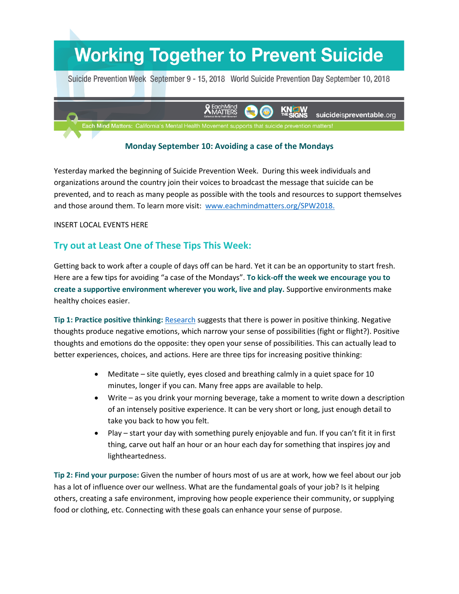## **Working Together to Prevent Suicide**

Suicide Prevention Week September 9 - 15, 2018 World Suicide Prevention Day September 10, 2018



## **Monday September 10: Avoiding a case of the Mondays**

Yesterday marked the beginning of Suicide Prevention Week. During this week individuals and organizations around the country join their voices to broadcast the message that suicide can be prevented, and to reach as many people as possible with the tools and resources to support themselves and those around them. To learn more visit: [www.eachmindmatters.org/SPW2018.](http://www.eachmindmatters.org/SPW2018)

## INSERT LOCAL EVENTS HERE

## **Try out at Least One of These Tips This Week:**

Getting back to work after a couple of days off can be hard. Yet it can be an opportunity to start fresh. Here are a few tips for avoiding "a case of the Mondays". **To kick-off the week we encourage you to create a supportive environment wherever you work, live and play.** Supportive environments make healthy choices easier.

**Tip 1: Practice positive thinking:** [Research](https://www.ncbi.nlm.nih.gov/pmc/articles/PMC3156028/) suggests that there is power in positive thinking. Negative thoughts produce negative emotions, which narrow your sense of possibilities (fight or flight?). Positive thoughts and emotions do the opposite: they open your sense of possibilities. This can actually lead to better experiences, choices, and actions. Here are three tips for increasing positive thinking:

- Meditate site quietly, eyes closed and breathing calmly in a quiet space for 10 minutes, longer if you can. Many free apps are available to help.
- Write as you drink your morning beverage, take a moment to write down a description of an intensely positive experience. It can be very short or long, just enough detail to take you back to how you felt.
- Play start your day with something purely enjoyable and fun. If you can't fit it in first thing, carve out half an hour or an hour each day for something that inspires joy and lightheartedness.

**Tip 2: Find your purpose:** Given the number of hours most of us are at work, how we feel about our job has a lot of influence over our wellness. What are the fundamental goals of your job? Is it helping others, creating a safe environment, improving how people experience their community, or supplying food or clothing, etc. Connecting with these goals can enhance your sense of purpose.